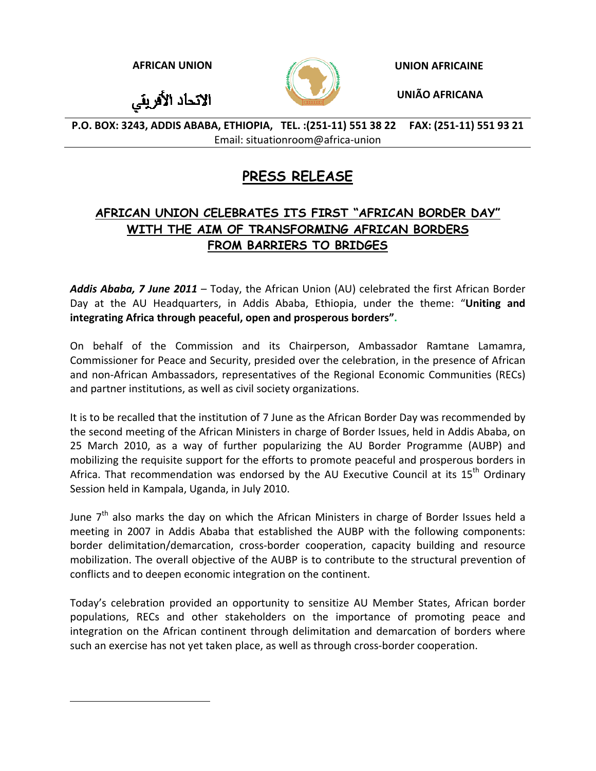الاتحاد الأفريقي



**AFRICAN UNION UNION AFRICAINE**

**UNIÃO AFRICANA**

P.O. BOX: 3243, ADDIS ABABA, ETHIOPIA, TEL.: (251-11) 551 38 22 FAX: (251-11) 551 93 21 Email: situationroom@africa‐union

# **PRESS RELEASE**

# **AFRICAN UNION CELEBRATES ITS FIRST "AFRICAN BORDER DAY" WITH THE AIM OF TRANSFORMING AFRICAN BORDERS FROM BARRIERS TO BRIDGES**

*Addis Ababa, 7 June 2011* – Today, the African Union (AU) celebrated the first African Border Day at the AU Headquarters, in Addis Ababa, Ethiopia, under the theme: "**Uniting and integrating Africa through peaceful, open and prosperous borders".** 

On behalf of the Commission and its Chairperson, Ambassador Ramtane Lamamra, Commissioner for Peace and Security, presided over the celebration, in the presence of African and non‐African Ambassadors, representatives of the Regional Economic Communities (RECs) and partner institutions, as well as civil society organizations.

It is to be recalled that the institution of 7 June as the African Border Day was recommended by the second meeting of the African Ministers in charge of Border Issues, held in Addis Ababa, on 25 March 2010, as a way of further popularizing the AU Border Programme (AUBP) and mobilizing the requisite support for the efforts to promote peaceful and prosperous borders in Africa. That recommendation was endorsed by the AU Executive Council at its  $15<sup>th</sup>$  Ordinary Session held in Kampala, Uganda, in July 2010.

June  $7<sup>th</sup>$  also marks the day on which the African Ministers in charge of Border Issues held a meeting in 2007 in Addis Ababa that established the AUBP with the following components: border delimitation/demarcation, cross-border cooperation, capacity building and resource mobilization. The overall objective of the AUBP is to contribute to the structural prevention of conflicts and to deepen economic integration on the continent.

Today's celebration provided an opportunity to sensitize AU Member States, African border populations, RECs and other stakeholders on the importance of promoting peace and integration on the African continent through delimitation and demarcation of borders where such an exercise has not yet taken place, as well as through cross-border cooperation.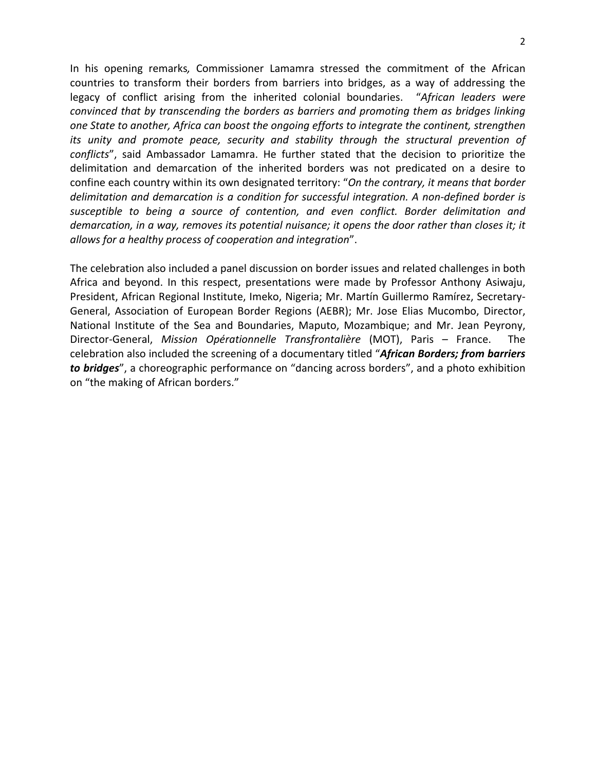In his opening remarks*,* Commissioner Lamamra stressed the commitment of the African countries to transform their borders from barriers into bridges, as a way of addressing the legacy of conflict arising from the inherited colonial boundaries. "*African leaders were convinced that by transcending the borders as barriers and promoting them as bridges linking one State to another, Africa can boost the ongoing efforts to integrate the continent, strengthen its unity and promote peace, security and stability through the structural prevention of conflicts*", said Ambassador Lamamra. He further stated that the decision to prioritize the delimitation and demarcation of the inherited borders was not predicated on a desire to confine each country within its own designated territory: "*On the contrary, it means that border delimitation and demarcation is a condition for successful integration. A non‐defined border is susceptible to being a source of contention, and even conflict. Border delimitation and demarcation, in a way, removes its potential nuisance; it opens the door rather than closes it; it allows for a healthy process of cooperation and integration*".

The celebration also included a panel discussion on border issues and related challenges in both Africa and beyond. In this respect, presentations were made by Professor Anthony Asiwaju, President, African Regional Institute, Imeko, Nigeria; Mr. Martín Guillermo Ramírez, Secretary‐ General, Association of European Border Regions (AEBR); Mr. Jose Elias Mucombo, Director, National Institute of the Sea and Boundaries, Maputo, Mozambique; and Mr. Jean Peyrony, Director‐General, *Mission Opérationnelle Transfrontalière* (MOT), Paris – France. The celebration also included the screening of a documentary titled "*African Borders; from barriers to bridges*", a choreographic performance on "dancing across borders", and a photo exhibition on "the making of African borders."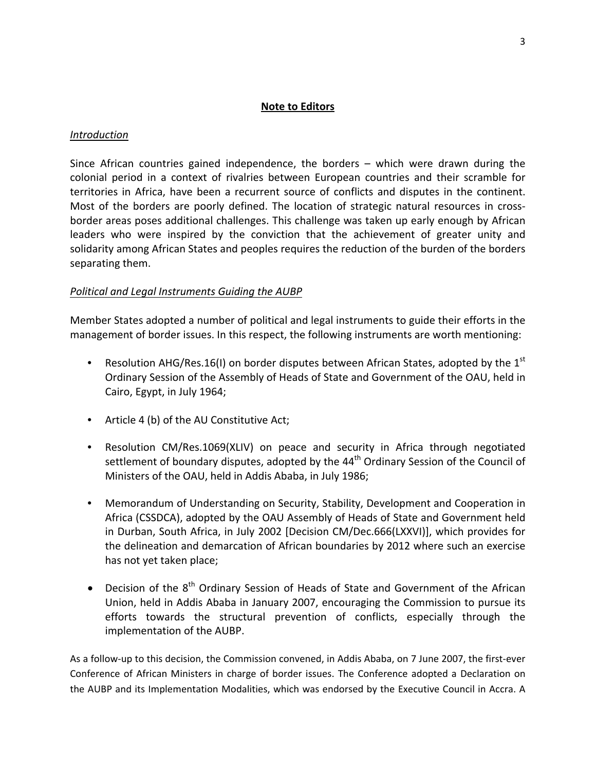#### **Note to Editors**

#### *Introduction*

Since African countries gained independence, the borders – which were drawn during the colonial period in a context of rivalries between European countries and their scramble for territories in Africa, have been a recurrent source of conflicts and disputes in the continent. Most of the borders are poorly defined. The location of strategic natural resources in crossborder areas poses additional challenges. This challenge was taken up early enough by African leaders who were inspired by the conviction that the achievement of greater unity and solidarity among African States and peoples requires the reduction of the burden of the borders separating them.

### *Political and Legal Instruments Guiding the AUBP*

Member States adopted a number of political and legal instruments to guide their efforts in the management of border issues. In this respect, the following instruments are worth mentioning:

- Resolution AHG/Res.16(I) on border disputes between African States, adopted by the  $1<sup>st</sup>$ Ordinary Session of the Assembly of Heads of State and Government of the OAU, held in Cairo, Egypt, in July 1964;
- Article 4 (b) of the AU Constitutive Act;
- Resolution CM/Res.1069(XLIV) on peace and security in Africa through negotiated settlement of boundary disputes, adopted by the 44<sup>th</sup> Ordinary Session of the Council of Ministers of the OAU, held in Addis Ababa, in July 1986;
- Memorandum of Understanding on Security, Stability, Development and Cooperation in Africa (CSSDCA), adopted by the OAU Assembly of Heads of State and Government held in Durban, South Africa, in July 2002 [Decision CM/Dec.666(LXXVI)], which provides for the delineation and demarcation of African boundaries by 2012 where such an exercise has not yet taken place;
- Decision of the  $8<sup>th</sup>$  Ordinary Session of Heads of State and Government of the African Union, held in Addis Ababa in January 2007, encouraging the Commission to pursue its efforts towards the structural prevention of conflicts, especially through the implementation of the AUBP.

As a follow‐up to this decision, the Commission convened, in Addis Ababa, on 7 June 2007, the first‐ever Conference of African Ministers in charge of border issues. The Conference adopted a Declaration on the AUBP and its Implementation Modalities, which was endorsed by the Executive Council in Accra. A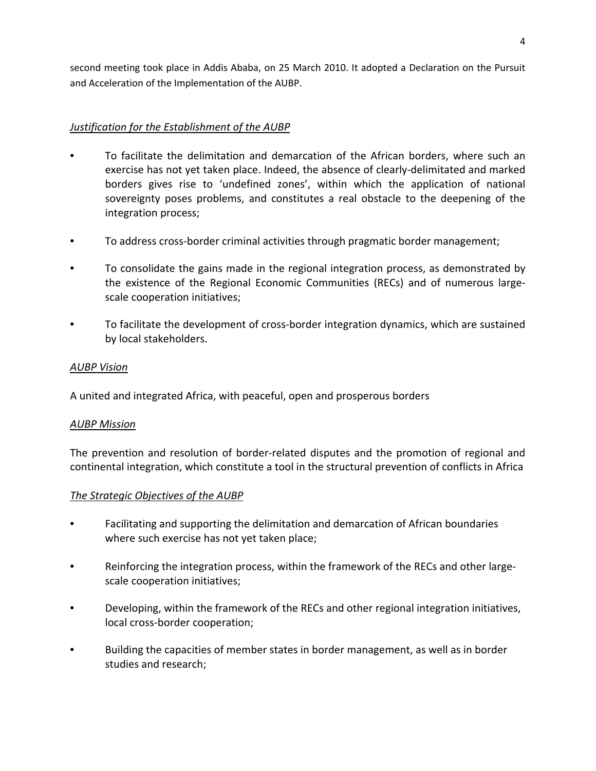second meeting took place in Addis Ababa, on 25 March 2010. It adopted a Declaration on the Pursuit and Acceleration of the Implementation of the AUBP.

# *Justification for the Establishment of the AUBP*

- To facilitate the delimitation and demarcation of the African borders, where such an exercise has not yet taken place. Indeed, the absence of clearly‐delimitated and marked borders gives rise to 'undefined zones', within which the application of national sovereignty poses problems, and constitutes a real obstacle to the deepening of the integration process;
- To address cross-border criminal activities through pragmatic border management;
- To consolidate the gains made in the regional integration process, as demonstrated by the existence of the Regional Economic Communities (RECs) and of numerous large‐ scale cooperation initiatives;
- To facilitate the development of cross‐border integration dynamics, which are sustained by local stakeholders.

## *AUBP Vision*

A united and integrated Africa, with peaceful, open and prosperous borders

### *AUBP Mission*

The prevention and resolution of border‐related disputes and the promotion of regional and continental integration, which constitute a tool in the structural prevention of conflicts in Africa

### *The Strategic Objectives of the AUBP*

- Facilitating and supporting the delimitation and demarcation of African boundaries where such exercise has not yet taken place;
- Reinforcing the integration process, within the framework of the RECs and other largescale cooperation initiatives;
- Developing, within the framework of the RECs and other regional integration initiatives, local cross‐border cooperation;
- Building the capacities of member states in border management, as well as in border studies and research;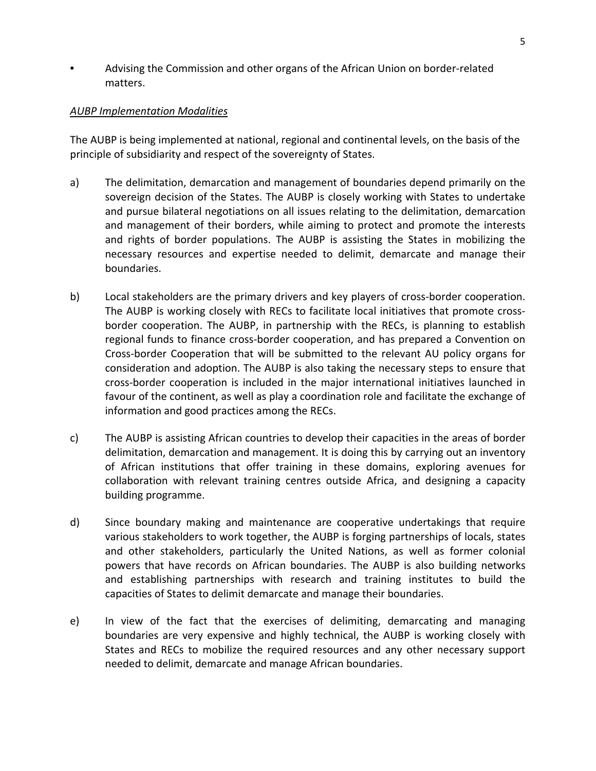• Advising the Commission and other organs of the African Union on border‐related matters.

### *AUBP Implementation Modalities*

The AUBP is being implemented at national, regional and continental levels, on the basis of the principle of subsidiarity and respect of the sovereignty of States.

- a) The delimitation, demarcation and management of boundaries depend primarily on the sovereign decision of the States. The AUBP is closely working with States to undertake and pursue bilateral negotiations on all issues relating to the delimitation, demarcation and management of their borders, while aiming to protect and promote the interests and rights of border populations. The AUBP is assisting the States in mobilizing the necessary resources and expertise needed to delimit, demarcate and manage their boundaries.
- b) Local stakeholders are the primary drivers and key players of cross-border cooperation. The AUBP is working closely with RECs to facilitate local initiatives that promote crossborder cooperation. The AUBP, in partnership with the RECs, is planning to establish regional funds to finance cross‐border cooperation, and has prepared a Convention on Cross‐border Cooperation that will be submitted to the relevant AU policy organs for consideration and adoption. The AUBP is also taking the necessary steps to ensure that cross‐border cooperation is included in the major international initiatives launched in favour of the continent, as well as play a coordination role and facilitate the exchange of information and good practices among the RECs.
- c) The AUBP is assisting African countries to develop their capacities in the areas of border delimitation, demarcation and management. It is doing this by carrying out an inventory of African institutions that offer training in these domains, exploring avenues for collaboration with relevant training centres outside Africa, and designing a capacity building programme.
- d) Since boundary making and maintenance are cooperative undertakings that require various stakeholders to work together, the AUBP is forging partnerships of locals, states and other stakeholders, particularly the United Nations, as well as former colonial powers that have records on African boundaries. The AUBP is also building networks and establishing partnerships with research and training institutes to build the capacities of States to delimit demarcate and manage their boundaries.
- e) In view of the fact that the exercises of delimiting, demarcating and managing boundaries are very expensive and highly technical, the AUBP is working closely with States and RECs to mobilize the required resources and any other necessary support needed to delimit, demarcate and manage African boundaries.